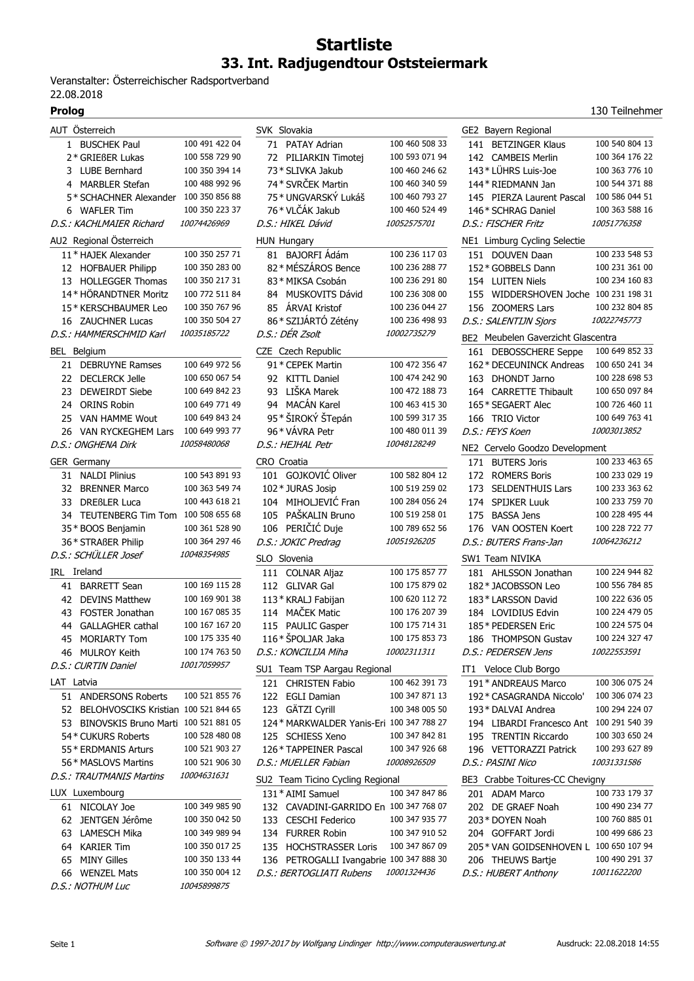## **Startliste 33. Int. Radjugendtour Oststeiermark**

Veranstalter: Österreichischer Radsportverband 22.08.2018

| AUT Österreich<br>SVK Slovakia<br>GE2 Bayern Regional<br>100 491 422 04<br>100 460 508 33<br>100 540 804 13<br>1 BUSCHEK Paul<br>71 PATAY Adrian<br>141 BETZINGER Klaus<br>100 558 729 90<br>100 593 071 94<br>100 364 176 22<br>2* GRIEßER Lukas<br>72 PILIARKIN Timotej<br>142 CAMBEIS Merlin<br>100 350 394 14<br>100 460 246 62<br>143* LÜHRS Luis-Joe<br>100 363 776 10<br>3 LUBE Bernhard<br>73 * SLIVKA Jakub<br>74* SVRČEK Martin<br>100 488 992 96<br>100 460 340 59<br>100 544 371 88<br>4 MARBLER Stefan<br>144 * RIEDMANN Jan<br>75* UNGVARSKÝ Lukáš<br>5* SCHACHNER Alexander<br>100 350 856 88<br>100 460 793 27<br>145 PIERZA Laurent Pascal<br>100 586 044 51<br>76* VLČÁK Jakub<br>100 350 223 37<br>100 460 524 49<br>100 363 588 16<br>6 WAFLER Tim<br>146* SCHRAG Daniel<br>10074426969<br>D.S.: HIKEL Dávid<br>10052575701<br>10051776358<br>D.S.: KACHLMAIER Richard<br>D.S.: FISCHER Fritz<br>AU2 Regional Österreich<br>NE1 Limburg Cycling Selectie<br>HUN Hungary<br>100 236 117 03<br>100 350 257 71<br>81 BAJORFI Ádám<br>100 233 548 53<br>11* HAJEK Alexander<br>151 DOUVEN Daan<br>82* MÉSZÁROS Bence<br>100 236 288 77<br>100 350 283 00<br>100 231 361 00<br>12 HOFBAUER Philipp<br>152* GOBBELS Dann<br>83* MIKSA Csobán<br><b>HOLLEGGER Thomas</b><br>100 350 217 31<br>100 236 291 80<br>154 LUITEN Niels<br>100 234 160 83<br>13<br>14* HÖRANDTNER Moritz<br>100 772 511 84<br>100 236 308 00<br>WIDDERSHOVEN Joche 100 231 198 31<br>MUSKOVITS Dávid<br>84<br>155<br>100 350 767 96<br>ÁRVAI Kristof<br>100 236 044 27<br>100 232 804 85<br>15* KERSCHBAUMER Leo<br>85<br>156 ZOOMERS Lars<br>100 350 504 27<br>86* SZIJÁRTÓ Zétény<br>100 236 498 93<br>D.S.: SALENTIJN Sjors<br>10022745773<br>16 ZAUCHNER Lucas<br>D.S.: DÉR Zsolt<br>10035185722<br>10002735279<br>D.S.: HAMMERSCHMID Karl<br>BE2 Meubelen Gaverzicht Glascentra<br>100 649 852 33<br>BEL Belgium<br>CZE Czech Republic<br>161 DEBOSSCHERE Seppe<br>100 472 356 47<br>21 DEBRUYNE Ramses<br>100 649 972 56<br>91 * CEPEK Martin<br>162* DECEUNINCK Andreas<br>100 650 241 34<br>100 650 067 54<br>100 474 242 90<br>100 228 698 53<br>22 DECLERCK Jelle<br>92 KITTL Daniel<br>DHONDT Jarno<br>163<br>LIŠKA Marek<br>100 650 097 84<br>100 649 842 23<br>93<br>100 472 188 73<br>164 CARRETTE Thibault<br>23<br>DEWEIRDT Siebe<br>94 MACÁN Karel<br><b>ORINS Robin</b><br>100 649 771 49<br>100 463 415 30<br>100 726 460 11<br>165* SEGAERT Alec<br>24<br>95* ŠIROKÝ ŠTepán<br>100 649 843 24<br>100 599 317 35<br>100 649 763 41<br>25 VAN HAMME Wout<br>166 TRIO Victor<br>96 * VÁVRA Petr<br>26 VAN RYCKEGHEM Lars<br>100 649 993 77<br>100 480 011 39<br>D.S.: FEYS Koen<br>10003013852<br>D.S.: ONGHENA Dirk<br>10058480068<br>D.S.: HEJHAL Petr<br>10048128249<br>NE2 Cervelo Goodzo Development |
|------------------------------------------------------------------------------------------------------------------------------------------------------------------------------------------------------------------------------------------------------------------------------------------------------------------------------------------------------------------------------------------------------------------------------------------------------------------------------------------------------------------------------------------------------------------------------------------------------------------------------------------------------------------------------------------------------------------------------------------------------------------------------------------------------------------------------------------------------------------------------------------------------------------------------------------------------------------------------------------------------------------------------------------------------------------------------------------------------------------------------------------------------------------------------------------------------------------------------------------------------------------------------------------------------------------------------------------------------------------------------------------------------------------------------------------------------------------------------------------------------------------------------------------------------------------------------------------------------------------------------------------------------------------------------------------------------------------------------------------------------------------------------------------------------------------------------------------------------------------------------------------------------------------------------------------------------------------------------------------------------------------------------------------------------------------------------------------------------------------------------------------------------------------------------------------------------------------------------------------------------------------------------------------------------------------------------------------------------------------------------------------------------------------------------------------------------------------------------------------------------------------------------------------------------------------------------------------------------------------------------------------------------------------------------------------------------------------------------------------------------------------------------------------------------------------|
|                                                                                                                                                                                                                                                                                                                                                                                                                                                                                                                                                                                                                                                                                                                                                                                                                                                                                                                                                                                                                                                                                                                                                                                                                                                                                                                                                                                                                                                                                                                                                                                                                                                                                                                                                                                                                                                                                                                                                                                                                                                                                                                                                                                                                                                                                                                                                                                                                                                                                                                                                                                                                                                                                                                                                                                                                  |
|                                                                                                                                                                                                                                                                                                                                                                                                                                                                                                                                                                                                                                                                                                                                                                                                                                                                                                                                                                                                                                                                                                                                                                                                                                                                                                                                                                                                                                                                                                                                                                                                                                                                                                                                                                                                                                                                                                                                                                                                                                                                                                                                                                                                                                                                                                                                                                                                                                                                                                                                                                                                                                                                                                                                                                                                                  |
|                                                                                                                                                                                                                                                                                                                                                                                                                                                                                                                                                                                                                                                                                                                                                                                                                                                                                                                                                                                                                                                                                                                                                                                                                                                                                                                                                                                                                                                                                                                                                                                                                                                                                                                                                                                                                                                                                                                                                                                                                                                                                                                                                                                                                                                                                                                                                                                                                                                                                                                                                                                                                                                                                                                                                                                                                  |
|                                                                                                                                                                                                                                                                                                                                                                                                                                                                                                                                                                                                                                                                                                                                                                                                                                                                                                                                                                                                                                                                                                                                                                                                                                                                                                                                                                                                                                                                                                                                                                                                                                                                                                                                                                                                                                                                                                                                                                                                                                                                                                                                                                                                                                                                                                                                                                                                                                                                                                                                                                                                                                                                                                                                                                                                                  |
|                                                                                                                                                                                                                                                                                                                                                                                                                                                                                                                                                                                                                                                                                                                                                                                                                                                                                                                                                                                                                                                                                                                                                                                                                                                                                                                                                                                                                                                                                                                                                                                                                                                                                                                                                                                                                                                                                                                                                                                                                                                                                                                                                                                                                                                                                                                                                                                                                                                                                                                                                                                                                                                                                                                                                                                                                  |
|                                                                                                                                                                                                                                                                                                                                                                                                                                                                                                                                                                                                                                                                                                                                                                                                                                                                                                                                                                                                                                                                                                                                                                                                                                                                                                                                                                                                                                                                                                                                                                                                                                                                                                                                                                                                                                                                                                                                                                                                                                                                                                                                                                                                                                                                                                                                                                                                                                                                                                                                                                                                                                                                                                                                                                                                                  |
|                                                                                                                                                                                                                                                                                                                                                                                                                                                                                                                                                                                                                                                                                                                                                                                                                                                                                                                                                                                                                                                                                                                                                                                                                                                                                                                                                                                                                                                                                                                                                                                                                                                                                                                                                                                                                                                                                                                                                                                                                                                                                                                                                                                                                                                                                                                                                                                                                                                                                                                                                                                                                                                                                                                                                                                                                  |
|                                                                                                                                                                                                                                                                                                                                                                                                                                                                                                                                                                                                                                                                                                                                                                                                                                                                                                                                                                                                                                                                                                                                                                                                                                                                                                                                                                                                                                                                                                                                                                                                                                                                                                                                                                                                                                                                                                                                                                                                                                                                                                                                                                                                                                                                                                                                                                                                                                                                                                                                                                                                                                                                                                                                                                                                                  |
|                                                                                                                                                                                                                                                                                                                                                                                                                                                                                                                                                                                                                                                                                                                                                                                                                                                                                                                                                                                                                                                                                                                                                                                                                                                                                                                                                                                                                                                                                                                                                                                                                                                                                                                                                                                                                                                                                                                                                                                                                                                                                                                                                                                                                                                                                                                                                                                                                                                                                                                                                                                                                                                                                                                                                                                                                  |
|                                                                                                                                                                                                                                                                                                                                                                                                                                                                                                                                                                                                                                                                                                                                                                                                                                                                                                                                                                                                                                                                                                                                                                                                                                                                                                                                                                                                                                                                                                                                                                                                                                                                                                                                                                                                                                                                                                                                                                                                                                                                                                                                                                                                                                                                                                                                                                                                                                                                                                                                                                                                                                                                                                                                                                                                                  |
|                                                                                                                                                                                                                                                                                                                                                                                                                                                                                                                                                                                                                                                                                                                                                                                                                                                                                                                                                                                                                                                                                                                                                                                                                                                                                                                                                                                                                                                                                                                                                                                                                                                                                                                                                                                                                                                                                                                                                                                                                                                                                                                                                                                                                                                                                                                                                                                                                                                                                                                                                                                                                                                                                                                                                                                                                  |
|                                                                                                                                                                                                                                                                                                                                                                                                                                                                                                                                                                                                                                                                                                                                                                                                                                                                                                                                                                                                                                                                                                                                                                                                                                                                                                                                                                                                                                                                                                                                                                                                                                                                                                                                                                                                                                                                                                                                                                                                                                                                                                                                                                                                                                                                                                                                                                                                                                                                                                                                                                                                                                                                                                                                                                                                                  |
|                                                                                                                                                                                                                                                                                                                                                                                                                                                                                                                                                                                                                                                                                                                                                                                                                                                                                                                                                                                                                                                                                                                                                                                                                                                                                                                                                                                                                                                                                                                                                                                                                                                                                                                                                                                                                                                                                                                                                                                                                                                                                                                                                                                                                                                                                                                                                                                                                                                                                                                                                                                                                                                                                                                                                                                                                  |
|                                                                                                                                                                                                                                                                                                                                                                                                                                                                                                                                                                                                                                                                                                                                                                                                                                                                                                                                                                                                                                                                                                                                                                                                                                                                                                                                                                                                                                                                                                                                                                                                                                                                                                                                                                                                                                                                                                                                                                                                                                                                                                                                                                                                                                                                                                                                                                                                                                                                                                                                                                                                                                                                                                                                                                                                                  |
|                                                                                                                                                                                                                                                                                                                                                                                                                                                                                                                                                                                                                                                                                                                                                                                                                                                                                                                                                                                                                                                                                                                                                                                                                                                                                                                                                                                                                                                                                                                                                                                                                                                                                                                                                                                                                                                                                                                                                                                                                                                                                                                                                                                                                                                                                                                                                                                                                                                                                                                                                                                                                                                                                                                                                                                                                  |
|                                                                                                                                                                                                                                                                                                                                                                                                                                                                                                                                                                                                                                                                                                                                                                                                                                                                                                                                                                                                                                                                                                                                                                                                                                                                                                                                                                                                                                                                                                                                                                                                                                                                                                                                                                                                                                                                                                                                                                                                                                                                                                                                                                                                                                                                                                                                                                                                                                                                                                                                                                                                                                                                                                                                                                                                                  |
|                                                                                                                                                                                                                                                                                                                                                                                                                                                                                                                                                                                                                                                                                                                                                                                                                                                                                                                                                                                                                                                                                                                                                                                                                                                                                                                                                                                                                                                                                                                                                                                                                                                                                                                                                                                                                                                                                                                                                                                                                                                                                                                                                                                                                                                                                                                                                                                                                                                                                                                                                                                                                                                                                                                                                                                                                  |
|                                                                                                                                                                                                                                                                                                                                                                                                                                                                                                                                                                                                                                                                                                                                                                                                                                                                                                                                                                                                                                                                                                                                                                                                                                                                                                                                                                                                                                                                                                                                                                                                                                                                                                                                                                                                                                                                                                                                                                                                                                                                                                                                                                                                                                                                                                                                                                                                                                                                                                                                                                                                                                                                                                                                                                                                                  |
|                                                                                                                                                                                                                                                                                                                                                                                                                                                                                                                                                                                                                                                                                                                                                                                                                                                                                                                                                                                                                                                                                                                                                                                                                                                                                                                                                                                                                                                                                                                                                                                                                                                                                                                                                                                                                                                                                                                                                                                                                                                                                                                                                                                                                                                                                                                                                                                                                                                                                                                                                                                                                                                                                                                                                                                                                  |
|                                                                                                                                                                                                                                                                                                                                                                                                                                                                                                                                                                                                                                                                                                                                                                                                                                                                                                                                                                                                                                                                                                                                                                                                                                                                                                                                                                                                                                                                                                                                                                                                                                                                                                                                                                                                                                                                                                                                                                                                                                                                                                                                                                                                                                                                                                                                                                                                                                                                                                                                                                                                                                                                                                                                                                                                                  |
|                                                                                                                                                                                                                                                                                                                                                                                                                                                                                                                                                                                                                                                                                                                                                                                                                                                                                                                                                                                                                                                                                                                                                                                                                                                                                                                                                                                                                                                                                                                                                                                                                                                                                                                                                                                                                                                                                                                                                                                                                                                                                                                                                                                                                                                                                                                                                                                                                                                                                                                                                                                                                                                                                                                                                                                                                  |
|                                                                                                                                                                                                                                                                                                                                                                                                                                                                                                                                                                                                                                                                                                                                                                                                                                                                                                                                                                                                                                                                                                                                                                                                                                                                                                                                                                                                                                                                                                                                                                                                                                                                                                                                                                                                                                                                                                                                                                                                                                                                                                                                                                                                                                                                                                                                                                                                                                                                                                                                                                                                                                                                                                                                                                                                                  |
|                                                                                                                                                                                                                                                                                                                                                                                                                                                                                                                                                                                                                                                                                                                                                                                                                                                                                                                                                                                                                                                                                                                                                                                                                                                                                                                                                                                                                                                                                                                                                                                                                                                                                                                                                                                                                                                                                                                                                                                                                                                                                                                                                                                                                                                                                                                                                                                                                                                                                                                                                                                                                                                                                                                                                                                                                  |
|                                                                                                                                                                                                                                                                                                                                                                                                                                                                                                                                                                                                                                                                                                                                                                                                                                                                                                                                                                                                                                                                                                                                                                                                                                                                                                                                                                                                                                                                                                                                                                                                                                                                                                                                                                                                                                                                                                                                                                                                                                                                                                                                                                                                                                                                                                                                                                                                                                                                                                                                                                                                                                                                                                                                                                                                                  |
| CRO Croatia<br>100 233 463 65<br>GER Germany<br>171 BUTERS Joris                                                                                                                                                                                                                                                                                                                                                                                                                                                                                                                                                                                                                                                                                                                                                                                                                                                                                                                                                                                                                                                                                                                                                                                                                                                                                                                                                                                                                                                                                                                                                                                                                                                                                                                                                                                                                                                                                                                                                                                                                                                                                                                                                                                                                                                                                                                                                                                                                                                                                                                                                                                                                                                                                                                                                 |
| 101 GOJKOVIĆ Oliver<br>100 543 891 93<br>100 582 804 12<br>100 233 029 19<br><b>NALDI Plinius</b><br><b>ROMERS Boris</b><br>172<br>31                                                                                                                                                                                                                                                                                                                                                                                                                                                                                                                                                                                                                                                                                                                                                                                                                                                                                                                                                                                                                                                                                                                                                                                                                                                                                                                                                                                                                                                                                                                                                                                                                                                                                                                                                                                                                                                                                                                                                                                                                                                                                                                                                                                                                                                                                                                                                                                                                                                                                                                                                                                                                                                                            |
| 102* JURAS Josip<br>32 BRENNER Marco<br>100 363 549 74<br>100 519 259 02<br><b>SELDENTHUIS Lars</b><br>100 233 363 62<br>173                                                                                                                                                                                                                                                                                                                                                                                                                                                                                                                                                                                                                                                                                                                                                                                                                                                                                                                                                                                                                                                                                                                                                                                                                                                                                                                                                                                                                                                                                                                                                                                                                                                                                                                                                                                                                                                                                                                                                                                                                                                                                                                                                                                                                                                                                                                                                                                                                                                                                                                                                                                                                                                                                     |
| 100 443 618 21<br>104 MIHOLJEVIĆ Fran<br>100 284 056 24<br>100 233 759 70<br><b>DREBLER Luca</b><br>174 SPIJKER Luuk<br>33                                                                                                                                                                                                                                                                                                                                                                                                                                                                                                                                                                                                                                                                                                                                                                                                                                                                                                                                                                                                                                                                                                                                                                                                                                                                                                                                                                                                                                                                                                                                                                                                                                                                                                                                                                                                                                                                                                                                                                                                                                                                                                                                                                                                                                                                                                                                                                                                                                                                                                                                                                                                                                                                                       |
| PAŠKALIN Bruno<br>34 TEUTENBERG Tim Tom<br>100 508 655 68<br>105<br>100 519 258 01<br>175 BASSA Jens<br>100 228 495 44                                                                                                                                                                                                                                                                                                                                                                                                                                                                                                                                                                                                                                                                                                                                                                                                                                                                                                                                                                                                                                                                                                                                                                                                                                                                                                                                                                                                                                                                                                                                                                                                                                                                                                                                                                                                                                                                                                                                                                                                                                                                                                                                                                                                                                                                                                                                                                                                                                                                                                                                                                                                                                                                                           |
| 106 PERIČIĆ Duje<br>100 361 528 90<br>100 789 652 56<br>100 228 722 77<br>35 * BOOS Benjamin<br>176 VAN OOSTEN Koert                                                                                                                                                                                                                                                                                                                                                                                                                                                                                                                                                                                                                                                                                                                                                                                                                                                                                                                                                                                                                                                                                                                                                                                                                                                                                                                                                                                                                                                                                                                                                                                                                                                                                                                                                                                                                                                                                                                                                                                                                                                                                                                                                                                                                                                                                                                                                                                                                                                                                                                                                                                                                                                                                             |
| 100 364 297 46<br>10051926205<br>10064236212<br>36 * STRAßER Philip<br>D.S.: JOKIC Predrag<br>D.S.: BUTERS Frans-Jan                                                                                                                                                                                                                                                                                                                                                                                                                                                                                                                                                                                                                                                                                                                                                                                                                                                                                                                                                                                                                                                                                                                                                                                                                                                                                                                                                                                                                                                                                                                                                                                                                                                                                                                                                                                                                                                                                                                                                                                                                                                                                                                                                                                                                                                                                                                                                                                                                                                                                                                                                                                                                                                                                             |
| D.S.: SCHÜLLER Josef<br>10048354985<br>SLO Slovenia<br>SW1 Team NIVIKA                                                                                                                                                                                                                                                                                                                                                                                                                                                                                                                                                                                                                                                                                                                                                                                                                                                                                                                                                                                                                                                                                                                                                                                                                                                                                                                                                                                                                                                                                                                                                                                                                                                                                                                                                                                                                                                                                                                                                                                                                                                                                                                                                                                                                                                                                                                                                                                                                                                                                                                                                                                                                                                                                                                                           |
| 100 175 857 77<br>100 224 944 82<br>IRL Ireland<br>111 COLNAR Aljaz<br>181 AHLSSON Jonathan                                                                                                                                                                                                                                                                                                                                                                                                                                                                                                                                                                                                                                                                                                                                                                                                                                                                                                                                                                                                                                                                                                                                                                                                                                                                                                                                                                                                                                                                                                                                                                                                                                                                                                                                                                                                                                                                                                                                                                                                                                                                                                                                                                                                                                                                                                                                                                                                                                                                                                                                                                                                                                                                                                                      |
| 100 169 115 28<br>100 175 879 02<br>100 556 784 85<br>41 BARRETT Sean<br>112 GLIVAR Gal<br>182* JACOBSSON Leo                                                                                                                                                                                                                                                                                                                                                                                                                                                                                                                                                                                                                                                                                                                                                                                                                                                                                                                                                                                                                                                                                                                                                                                                                                                                                                                                                                                                                                                                                                                                                                                                                                                                                                                                                                                                                                                                                                                                                                                                                                                                                                                                                                                                                                                                                                                                                                                                                                                                                                                                                                                                                                                                                                    |
| 100 169 901 38<br>100 620 112 72<br>100 222 636 05<br>42 DEVINS Matthew<br>113* KRALJ Fabijan<br>183* LARSSON David                                                                                                                                                                                                                                                                                                                                                                                                                                                                                                                                                                                                                                                                                                                                                                                                                                                                                                                                                                                                                                                                                                                                                                                                                                                                                                                                                                                                                                                                                                                                                                                                                                                                                                                                                                                                                                                                                                                                                                                                                                                                                                                                                                                                                                                                                                                                                                                                                                                                                                                                                                                                                                                                                              |
| 114 MAČEK Matic<br>100 167 085 35<br>100 176 207 39<br>100 224 479 05<br>43 FOSTER Jonathan<br>184 LOVIDIUS Edvin                                                                                                                                                                                                                                                                                                                                                                                                                                                                                                                                                                                                                                                                                                                                                                                                                                                                                                                                                                                                                                                                                                                                                                                                                                                                                                                                                                                                                                                                                                                                                                                                                                                                                                                                                                                                                                                                                                                                                                                                                                                                                                                                                                                                                                                                                                                                                                                                                                                                                                                                                                                                                                                                                                |
| 100 167 167 20<br>100 175 714 31<br>100 224 575 04<br>44<br>GALLAGHER cathal<br>115 PAULIC Gasper<br>185* PEDERSEN Eric                                                                                                                                                                                                                                                                                                                                                                                                                                                                                                                                                                                                                                                                                                                                                                                                                                                                                                                                                                                                                                                                                                                                                                                                                                                                                                                                                                                                                                                                                                                                                                                                                                                                                                                                                                                                                                                                                                                                                                                                                                                                                                                                                                                                                                                                                                                                                                                                                                                                                                                                                                                                                                                                                          |
| 116* ŠPOLJAR Jaka<br>45 MORIARTY Tom<br>100 175 335 40<br>100 175 853 73<br>186 THOMPSON Gustav<br>100 224 327 47                                                                                                                                                                                                                                                                                                                                                                                                                                                                                                                                                                                                                                                                                                                                                                                                                                                                                                                                                                                                                                                                                                                                                                                                                                                                                                                                                                                                                                                                                                                                                                                                                                                                                                                                                                                                                                                                                                                                                                                                                                                                                                                                                                                                                                                                                                                                                                                                                                                                                                                                                                                                                                                                                                |
| 100 174 763 50<br>D.S.: KONCILIJA Miha<br>10002311311<br>10022553591<br>46 MULROY Keith<br>D.S.: PEDERSEN Jens<br>10017059957                                                                                                                                                                                                                                                                                                                                                                                                                                                                                                                                                                                                                                                                                                                                                                                                                                                                                                                                                                                                                                                                                                                                                                                                                                                                                                                                                                                                                                                                                                                                                                                                                                                                                                                                                                                                                                                                                                                                                                                                                                                                                                                                                                                                                                                                                                                                                                                                                                                                                                                                                                                                                                                                                    |
| D.S.: CURTIN Daniel<br>SU1 Team TSP Aargau Regional<br>IT1 Veloce Club Borgo                                                                                                                                                                                                                                                                                                                                                                                                                                                                                                                                                                                                                                                                                                                                                                                                                                                                                                                                                                                                                                                                                                                                                                                                                                                                                                                                                                                                                                                                                                                                                                                                                                                                                                                                                                                                                                                                                                                                                                                                                                                                                                                                                                                                                                                                                                                                                                                                                                                                                                                                                                                                                                                                                                                                     |
| LAT Latvia<br>121 CHRISTEN Fabio<br>100 462 391 73<br>191* ANDREAUS Marco<br>100 306 075 24                                                                                                                                                                                                                                                                                                                                                                                                                                                                                                                                                                                                                                                                                                                                                                                                                                                                                                                                                                                                                                                                                                                                                                                                                                                                                                                                                                                                                                                                                                                                                                                                                                                                                                                                                                                                                                                                                                                                                                                                                                                                                                                                                                                                                                                                                                                                                                                                                                                                                                                                                                                                                                                                                                                      |
| 100 521 855 76<br>122 EGLI Damian<br>100 347 871 13<br>100 306 074 23<br>51 ANDERSONS Roberts<br>192* CASAGRANDA Niccolo'                                                                                                                                                                                                                                                                                                                                                                                                                                                                                                                                                                                                                                                                                                                                                                                                                                                                                                                                                                                                                                                                                                                                                                                                                                                                                                                                                                                                                                                                                                                                                                                                                                                                                                                                                                                                                                                                                                                                                                                                                                                                                                                                                                                                                                                                                                                                                                                                                                                                                                                                                                                                                                                                                        |
| 123 GÄTZI Cyrill<br>52 BELOHVOSCIKS Kristian 100 521 844 65<br>100 348 005 50<br>193* DALVAI Andrea<br>100 294 224 07                                                                                                                                                                                                                                                                                                                                                                                                                                                                                                                                                                                                                                                                                                                                                                                                                                                                                                                                                                                                                                                                                                                                                                                                                                                                                                                                                                                                                                                                                                                                                                                                                                                                                                                                                                                                                                                                                                                                                                                                                                                                                                                                                                                                                                                                                                                                                                                                                                                                                                                                                                                                                                                                                            |
| 53 BINOVSKIS Bruno Marti 100 521 881 05<br>124* MARKWALDER Yanis-Eri 100 347 788 27<br>194 LIBARDI Francesco Ant 100 291 540 39                                                                                                                                                                                                                                                                                                                                                                                                                                                                                                                                                                                                                                                                                                                                                                                                                                                                                                                                                                                                                                                                                                                                                                                                                                                                                                                                                                                                                                                                                                                                                                                                                                                                                                                                                                                                                                                                                                                                                                                                                                                                                                                                                                                                                                                                                                                                                                                                                                                                                                                                                                                                                                                                                  |
| 100 528 480 08<br>100 347 842 81<br>100 303 650 24<br>54 * CUKURS Roberts<br>125 SCHIESS Xeno<br>195 TRENTIN Riccardo                                                                                                                                                                                                                                                                                                                                                                                                                                                                                                                                                                                                                                                                                                                                                                                                                                                                                                                                                                                                                                                                                                                                                                                                                                                                                                                                                                                                                                                                                                                                                                                                                                                                                                                                                                                                                                                                                                                                                                                                                                                                                                                                                                                                                                                                                                                                                                                                                                                                                                                                                                                                                                                                                            |
| 55 * ERDMANIS Arturs<br>100 521 903 27<br>126* TAPPEINER Pascal<br>100 347 926 68<br>196 VETTORAZZI Patrick<br>100 293 627 89                                                                                                                                                                                                                                                                                                                                                                                                                                                                                                                                                                                                                                                                                                                                                                                                                                                                                                                                                                                                                                                                                                                                                                                                                                                                                                                                                                                                                                                                                                                                                                                                                                                                                                                                                                                                                                                                                                                                                                                                                                                                                                                                                                                                                                                                                                                                                                                                                                                                                                                                                                                                                                                                                    |
| 100 521 906 30<br>D.S.: MUELLER Fabian<br><i>10008926509</i><br>D.S.: PASINI Nico<br>10031331586<br>56* MASLOVS Martins                                                                                                                                                                                                                                                                                                                                                                                                                                                                                                                                                                                                                                                                                                                                                                                                                                                                                                                                                                                                                                                                                                                                                                                                                                                                                                                                                                                                                                                                                                                                                                                                                                                                                                                                                                                                                                                                                                                                                                                                                                                                                                                                                                                                                                                                                                                                                                                                                                                                                                                                                                                                                                                                                          |
| 10004631631<br>D.S.: TRAUTMANIS Martins<br>SU2 Team Ticino Cycling Regional<br>BE3 Crabbe Toitures-CC Chevigny                                                                                                                                                                                                                                                                                                                                                                                                                                                                                                                                                                                                                                                                                                                                                                                                                                                                                                                                                                                                                                                                                                                                                                                                                                                                                                                                                                                                                                                                                                                                                                                                                                                                                                                                                                                                                                                                                                                                                                                                                                                                                                                                                                                                                                                                                                                                                                                                                                                                                                                                                                                                                                                                                                   |
| LUX Luxembourg<br>131 * AIMI Samuel<br>100 347 847 86<br>100 733 179 37<br>201 ADAM Marco                                                                                                                                                                                                                                                                                                                                                                                                                                                                                                                                                                                                                                                                                                                                                                                                                                                                                                                                                                                                                                                                                                                                                                                                                                                                                                                                                                                                                                                                                                                                                                                                                                                                                                                                                                                                                                                                                                                                                                                                                                                                                                                                                                                                                                                                                                                                                                                                                                                                                                                                                                                                                                                                                                                        |
| 100 349 985 90<br>100 490 234 77<br>61 NICOLAY Joe<br>132 CAVADINI-GARRIDO En 100 347 768 07<br>202 DE GRAEF Noah                                                                                                                                                                                                                                                                                                                                                                                                                                                                                                                                                                                                                                                                                                                                                                                                                                                                                                                                                                                                                                                                                                                                                                                                                                                                                                                                                                                                                                                                                                                                                                                                                                                                                                                                                                                                                                                                                                                                                                                                                                                                                                                                                                                                                                                                                                                                                                                                                                                                                                                                                                                                                                                                                                |
| 62 JENTGEN Jérôme<br>100 350 042 50<br>100 347 935 77<br>100 760 885 01<br>133 CESCHI Federico<br>203* DOYEN Noah                                                                                                                                                                                                                                                                                                                                                                                                                                                                                                                                                                                                                                                                                                                                                                                                                                                                                                                                                                                                                                                                                                                                                                                                                                                                                                                                                                                                                                                                                                                                                                                                                                                                                                                                                                                                                                                                                                                                                                                                                                                                                                                                                                                                                                                                                                                                                                                                                                                                                                                                                                                                                                                                                                |
| 63 LAMESCH Mika<br>100 349 989 94<br>134 FURRER Robin<br>100 347 910 52<br>204 GOFFART Jordi<br>100 499 686 23                                                                                                                                                                                                                                                                                                                                                                                                                                                                                                                                                                                                                                                                                                                                                                                                                                                                                                                                                                                                                                                                                                                                                                                                                                                                                                                                                                                                                                                                                                                                                                                                                                                                                                                                                                                                                                                                                                                                                                                                                                                                                                                                                                                                                                                                                                                                                                                                                                                                                                                                                                                                                                                                                                   |
| 64 KARIER Tim<br>100 350 017 25<br>100 347 867 09<br>205* VAN GOIDSENHOVEN L 100 650 107 94<br>135 HOCHSTRASSER Loris<br>100 350 133 44<br>100 490 291 37                                                                                                                                                                                                                                                                                                                                                                                                                                                                                                                                                                                                                                                                                                                                                                                                                                                                                                                                                                                                                                                                                                                                                                                                                                                                                                                                                                                                                                                                                                                                                                                                                                                                                                                                                                                                                                                                                                                                                                                                                                                                                                                                                                                                                                                                                                                                                                                                                                                                                                                                                                                                                                                        |
| 136 PETROGALLI Ivangabrie 100 347 888 30<br>65 MINY Gilles<br>206 THEUWS Bartje<br>100 350 004 12<br>D.S.: BERTOGLIATI Rubens<br>10001324436<br>D.S.: HUBERT Anthony<br><i>10011622200</i>                                                                                                                                                                                                                                                                                                                                                                                                                                                                                                                                                                                                                                                                                                                                                                                                                                                                                                                                                                                                                                                                                                                                                                                                                                                                                                                                                                                                                                                                                                                                                                                                                                                                                                                                                                                                                                                                                                                                                                                                                                                                                                                                                                                                                                                                                                                                                                                                                                                                                                                                                                                                                       |
| 66 WENZEL Mats<br>10045899875<br>D.S.: NOTHUM Luc                                                                                                                                                                                                                                                                                                                                                                                                                                                                                                                                                                                                                                                                                                                                                                                                                                                                                                                                                                                                                                                                                                                                                                                                                                                                                                                                                                                                                                                                                                                                                                                                                                                                                                                                                                                                                                                                                                                                                                                                                                                                                                                                                                                                                                                                                                                                                                                                                                                                                                                                                                                                                                                                                                                                                                |